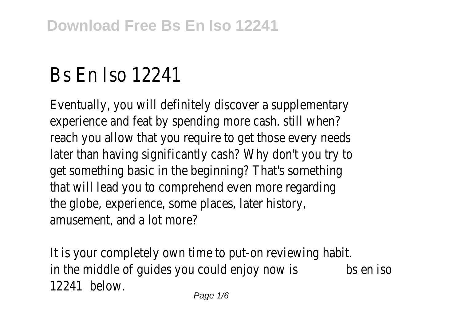## Bs En Iso 12241

Eventually, you will definitely discover a supplementary experience and feat by spending more cash. still when? reach you allow that you require to get those every needs later than having significantly cash? Why don't you try to get something basic in the beginning? That's something that will lead you to comprehend even more regarding the globe, experience, some places, later history, amusement, and a lot more?

It is your completely own time to put-on reviewing habit. in the middle of guides you could enjoy now isbs en iso 12241 below.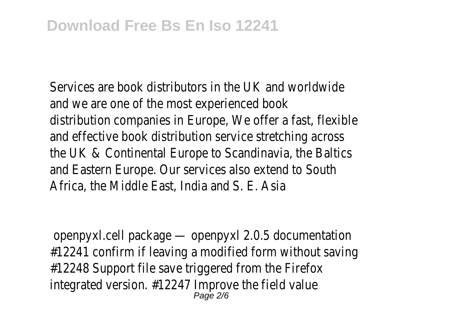Services are book distributors in the UK and worldwide and we are one of the most experienced book distribution companies in Europe, We offer a fast, flexible and effective book distribution service stretching across the UK & Continental Europe to Scandinavia, the Baltics and Eastern Europe. Our services also extend to South Africa, the Middle East, India and S. E. Asia

openpyxl.cell package — openpyxl 2.0.5 documentation #12241 confirm if leaving a modified form without saving #12248 Support file save triggered from the Firefox integrated version. #12247 Improve the field value Page 2/6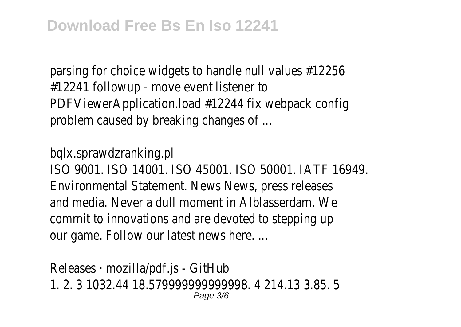parsing for choice widgets to handle null values #12256 #12241 followup - move event listener to PDFViewerApplication.load #12244 fix webpack config problem caused by breaking changes of ...

bqlx.sprawdzranking.pl

ISO 9001. ISO 14001. ISO 45001. ISO 50001. IATF 16949. Environmental Statement. News News, press releases and media. Never a dull moment in Alblasserdam. We commit to innovations and are devoted to stepping up our game. Follow our latest news here. ...

Releases · mozilla/pdf.js - GitHub 1. 2. 3 1032.44 18.579999999999998. 4 214.13 3.85. 5 Page 3/6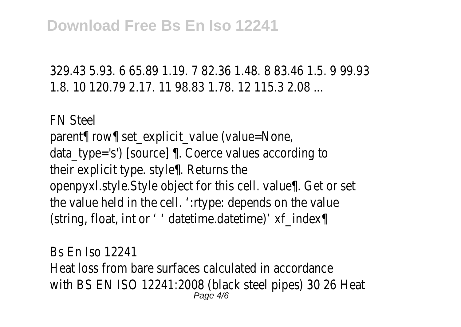329.43 5.93. 6 65.89 1.19. 7 82.36 1.48. 8 83.46 1.5. 9 99.93 1.8. 10 120.79 2.17. 11 98.83 1.78. 12 115.3 2.08 ...

FN Steel parent¶ row¶ set\_explicit\_value (value=None, data\_type='s') [source] ¶. Coerce values according to their explicit type. style¶. Returns the openpyxl.style.Style object for this cell. value¶. Get or set the value held in the cell. "type: depends on the value (string, float, int or ' ' datetime.datetime)' xf index¶

Bs En Iso 12241 Heat loss from bare surfaces calculated in accordance with BS EN ISO 12241:2008 (black steel pipes) 30 26 Heat Page 4/6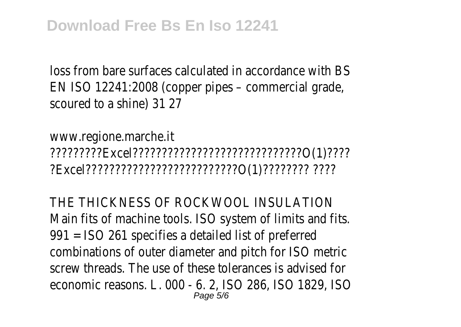loss from bare surfaces calculated in accordance with BS EN ISO 12241:2008 (copper pipes – commercial grade, scoured to a shine) 31 27

www.regione.marche.it ?????????Excel?????????????????????????????O(1)???? ?Excel??????????????????????????O(1)???????? ????

THE THICKNESS OF ROCKWOOL INSULATION Main fits of machine tools. ISO system of limits and fits. 991 = ISO 261 specifies a detailed list of preferred combinations of outer diameter and pitch for ISO metric screw threads. The use of these tolerances is advised for economic reasons. L. 000 - 6. 2, ISO 286, ISO 1829, ISO Page 5/6